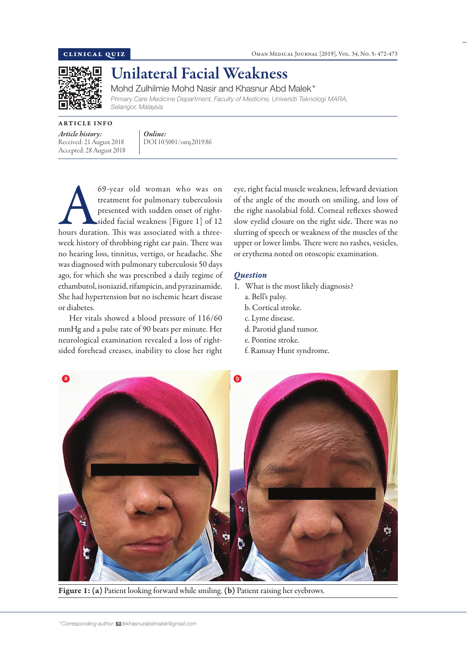

# Unilateral Facial Weakness

Mohd Zulhilmie Mohd Nasir and Khasnur Abd Malek\*

*Primary Care Medicine Department, Faculty of Medicine, Universiti Teknologi MARA, Selangor, Malaysia*

ARTICLE INFO

Received: 21 August 2018 Accepted: 28 August 2018

*Article history:* 

*Online:* DOI 10.5001/omj.2019.86

69-year old woman who was on treatment for pulmonary tuberculosis presented with sudden onset of right-sided facial weakness [Figure 1] of 12 hours duration. This was associated with a threetreatment for pulmonary tuberculosis presented with sudden onset of rightsided facial weakness [Figure 1] of 12 week history of throbbing right ear pain. There was no hearing loss, tinnitus, vertigo, or headache. She was diagnosed with pulmonary tuberculosis 50 days ago, for which she was prescribed a daily regime of ethambutol, isoniazid, rifampicin, and pyrazinamide. She had hypertension but no ischemic heart disease or diabetes.

Her vitals showed a blood pressure of 116/60 mmHg and a pulse rate of 90 beats per minute. Her neurological examination revealed a loss of rightsided forehead creases, inability to close her right

eye, right facial muscle weakness, leftward deviation of the angle of the mouth on smiling, and loss of the right nasolabial fold. Corneal reflexes showed slow eyelid closure on the right side. There was no slurring of speech or weakness of the muscles of the upper or lower limbs. There were no rashes, vesicles, or erythema noted on otoscopic examination.

## *Question*

- 1. What is the most likely diagnosis? a. Bell's palsy.
	- b. Cortical stroke.
	- c. Lyme disease.
	- d. Parotid gland tumor.
	- e. Pontine stroke.
	- f. Ramsay Hunt syndrome.



Figure 1: (a) Patient looking forward while smiling. (b) Patient raising her eyebrows.